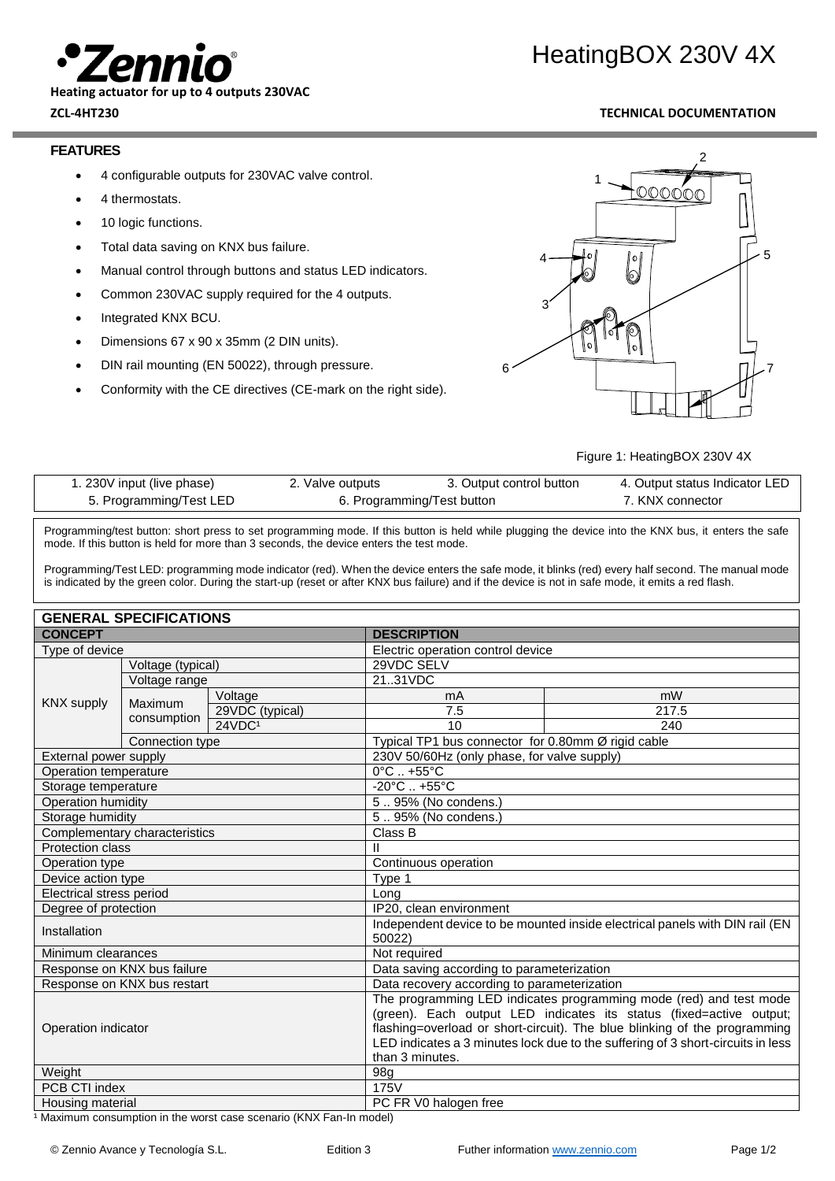

#### **Heating actuator for up to 4 outputs 230VAC**

# HeatingBOX 230V 4X

### **ZCL-4HT230 TECHNICAL DOCUMENTATION**

#### **FEATURES**

- 4 configurable outputs for 230VAC valve control.
- 4 thermostats.
- 10 logic functions.
- Total data saving on KNX bus failure.
- Manual control through buttons and status LED indicators.
- Common 230VAC supply required for the 4 outputs.
- Integrated KNX BCU.
- Dimensions 67 x 90 x 35mm (2 DIN units).
- DIN rail mounting (EN 50022), through pressure.
- Conformity with the CE directives (CE-mark on the right side).



Figure 1: HeatingBOX 230V 4X

| r. 230V input (live phase) | 2. Valve outputs           | 3. Output control button | 4. Output status Indicator LED |
|----------------------------|----------------------------|--------------------------|--------------------------------|
| 5. Programming/Test LED    | 6. Programming/Test button |                          | 7. KNX connector               |

Programming/test button: short press to set programming mode. If this button is held while plugging the device into the KNX bus, it enters the safe mode. If this button is held for more than 3 seconds, the device enters the test mode.

Programming/Test LED: programming mode indicator (red). When the device enters the safe mode, it blinks (red) every half second. The manual mode is indicated by the green color. During the start-up (reset or after KNX bus failure) and if the device is not in safe mode, it emits a red flash.

| <b>GENERAL SPECIFICATIONS</b>                                       |                 |                                                                                       |                                                                                                                                                                                                                                                                                                           |                                             |  |  |
|---------------------------------------------------------------------|-----------------|---------------------------------------------------------------------------------------|-----------------------------------------------------------------------------------------------------------------------------------------------------------------------------------------------------------------------------------------------------------------------------------------------------------|---------------------------------------------|--|--|
| <b>CONCEPT</b>                                                      |                 | <b>DESCRIPTION</b>                                                                    |                                                                                                                                                                                                                                                                                                           |                                             |  |  |
| Type of device                                                      |                 | Electric operation control device                                                     |                                                                                                                                                                                                                                                                                                           |                                             |  |  |
| Voltage (typical)                                                   |                 |                                                                                       | 29VDC SELV                                                                                                                                                                                                                                                                                                |                                             |  |  |
| Voltage range<br><b>KNX supply</b><br><b>Maximum</b><br>consumption |                 | 2131VDC                                                                               |                                                                                                                                                                                                                                                                                                           |                                             |  |  |
|                                                                     |                 | Voltage                                                                               | mA                                                                                                                                                                                                                                                                                                        | mW                                          |  |  |
|                                                                     |                 | 29VDC (typical)                                                                       | 7.5                                                                                                                                                                                                                                                                                                       | 217.5                                       |  |  |
|                                                                     |                 | 24VDC1                                                                                | 10                                                                                                                                                                                                                                                                                                        | 240                                         |  |  |
|                                                                     | Connection type |                                                                                       | Typical TP1 bus connector for 0.80mm Ø rigid cable                                                                                                                                                                                                                                                        |                                             |  |  |
| External power supply                                               |                 |                                                                                       |                                                                                                                                                                                                                                                                                                           | 230V 50/60Hz (only phase, for valve supply) |  |  |
| Operation temperature                                               |                 |                                                                                       | $0^{\circ}$ C $. +55^{\circ}$ C                                                                                                                                                                                                                                                                           |                                             |  |  |
| Storage temperature                                                 |                 |                                                                                       | $-20^{\circ}$ C  +55 $^{\circ}$ C                                                                                                                                                                                                                                                                         |                                             |  |  |
| Operation humidity                                                  |                 | 595% (No condens.)                                                                    |                                                                                                                                                                                                                                                                                                           |                                             |  |  |
| Storage humidity                                                    |                 | 595% (No condens.)                                                                    |                                                                                                                                                                                                                                                                                                           |                                             |  |  |
| Complementary characteristics                                       |                 | Class B                                                                               |                                                                                                                                                                                                                                                                                                           |                                             |  |  |
| Protection class                                                    |                 |                                                                                       |                                                                                                                                                                                                                                                                                                           |                                             |  |  |
| Operation type                                                      |                 | Continuous operation                                                                  |                                                                                                                                                                                                                                                                                                           |                                             |  |  |
| Device action type                                                  |                 | Type 1                                                                                |                                                                                                                                                                                                                                                                                                           |                                             |  |  |
| Electrical stress period                                            |                 | Long                                                                                  |                                                                                                                                                                                                                                                                                                           |                                             |  |  |
| Degree of protection                                                |                 | IP20, clean environment                                                               |                                                                                                                                                                                                                                                                                                           |                                             |  |  |
| Installation                                                        |                 | Independent device to be mounted inside electrical panels with DIN rail (EN<br>50022) |                                                                                                                                                                                                                                                                                                           |                                             |  |  |
| Minimum clearances                                                  |                 | Not required                                                                          |                                                                                                                                                                                                                                                                                                           |                                             |  |  |
| Response on KNX bus failure                                         |                 |                                                                                       | Data saving according to parameterization                                                                                                                                                                                                                                                                 |                                             |  |  |
| Response on KNX bus restart                                         |                 | Data recovery according to parameterization                                           |                                                                                                                                                                                                                                                                                                           |                                             |  |  |
| Operation indicator                                                 |                 | than 3 minutes.                                                                       | The programming LED indicates programming mode (red) and test mode<br>(green). Each output LED indicates its status (fixed=active output;<br>flashing=overload or short-circuit). The blue blinking of the programming<br>LED indicates a 3 minutes lock due to the suffering of 3 short-circuits in less |                                             |  |  |
| Weight                                                              |                 | 98g                                                                                   |                                                                                                                                                                                                                                                                                                           |                                             |  |  |
| PCB CTI index                                                       |                 | 175V                                                                                  |                                                                                                                                                                                                                                                                                                           |                                             |  |  |
| Housing material                                                    |                 | PC FR V0 halogen free                                                                 |                                                                                                                                                                                                                                                                                                           |                                             |  |  |

<sup>1</sup> Maximum consumption in the worst case scenario (KNX Fan-In model)